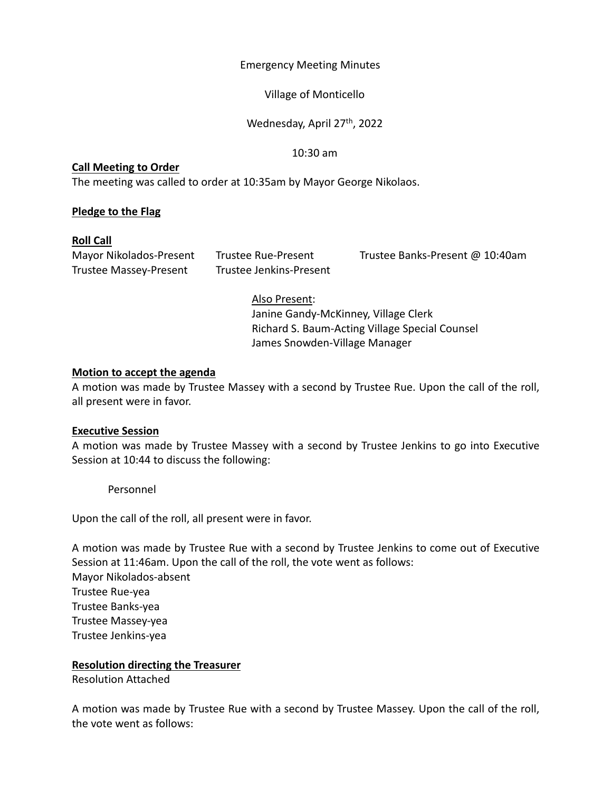## Emergency Meeting Minutes

## Village of Monticello

## Wednesday, April 27<sup>th</sup>, 2022

#### 10:30 am

#### **Call Meeting to Order**

The meeting was called to order at 10:35am by Mayor George Nikolaos.

# **Pledge to the Flag**

## **Roll Call**

Trustee Massey‐Present Trustee Jenkins‐Present

Mayor Nikolados‐Present Trustee Rue‐Present Trustee Banks‐Present @ 10:40am

## Also Present:

Janine Gandy‐McKinney, Village Clerk Richard S. Baum‐Acting Village Special Counsel James Snowden‐Village Manager

## **Motion to accept the agenda**

A motion was made by Trustee Massey with a second by Trustee Rue. Upon the call of the roll, all present were in favor.

# **Executive Session**

A motion was made by Trustee Massey with a second by Trustee Jenkins to go into Executive Session at 10:44 to discuss the following:

Personnel

Upon the call of the roll, all present were in favor.

A motion was made by Trustee Rue with a second by Trustee Jenkins to come out of Executive Session at 11:46am. Upon the call of the roll, the vote went as follows: Mayor Nikolados‐absent Trustee Rue‐yea Trustee Banks‐yea Trustee Massey‐yea Trustee Jenkins‐yea

# **Resolution directing the Treasurer**

Resolution Attached

A motion was made by Trustee Rue with a second by Trustee Massey. Upon the call of the roll, the vote went as follows: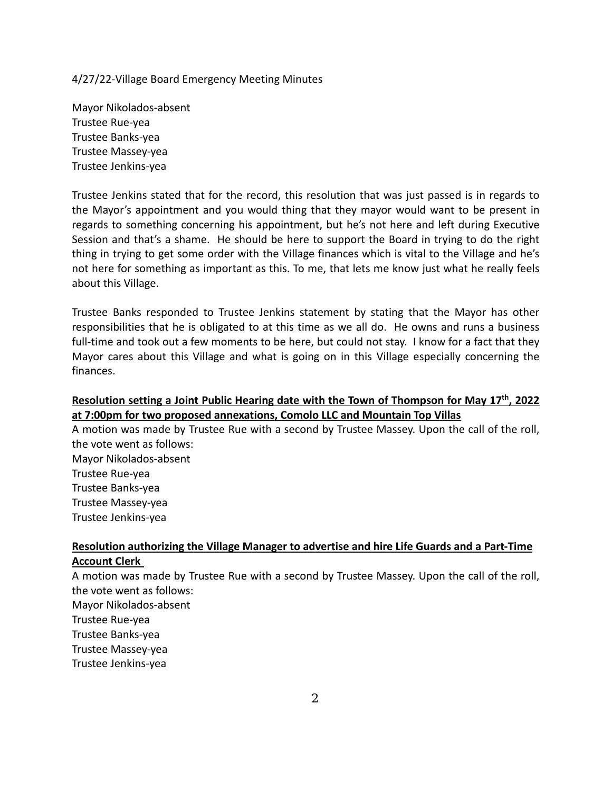4/27/22‐Village Board Emergency Meeting Minutes

Mayor Nikolados‐absent Trustee Rue‐yea Trustee Banks‐yea Trustee Massey‐yea Trustee Jenkins‐yea

Trustee Jenkins stated that for the record, this resolution that was just passed is in regards to the Mayor's appointment and you would thing that they mayor would want to be present in regards to something concerning his appointment, but he's not here and left during Executive Session and that's a shame. He should be here to support the Board in trying to do the right thing in trying to get some order with the Village finances which is vital to the Village and he's not here for something as important as this. To me, that lets me know just what he really feels about this Village.

Trustee Banks responded to Trustee Jenkins statement by stating that the Mayor has other responsibilities that he is obligated to at this time as we all do. He owns and runs a business full-time and took out a few moments to be here, but could not stay. I know for a fact that they Mayor cares about this Village and what is going on in this Village especially concerning the finances.

# **Resolution setting a Joint Public Hearing date with the Town of Thompson for May 17th, 2022 at 7:00pm for two proposed annexations, Comolo LLC and Mountain Top Villas**

A motion was made by Trustee Rue with a second by Trustee Massey. Upon the call of the roll, the vote went as follows: Mayor Nikolados‐absent Trustee Rue‐yea Trustee Banks‐yea Trustee Massey‐yea Trustee Jenkins‐yea

## **Resolution authorizing the Village Manager to advertise and hire Life Guards and a Part‐Time Account Clerk**

A motion was made by Trustee Rue with a second by Trustee Massey. Upon the call of the roll, the vote went as follows: Mayor Nikolados‐absent Trustee Rue‐yea

- Trustee Banks‐yea
- Trustee Massey‐yea
- Trustee Jenkins‐yea